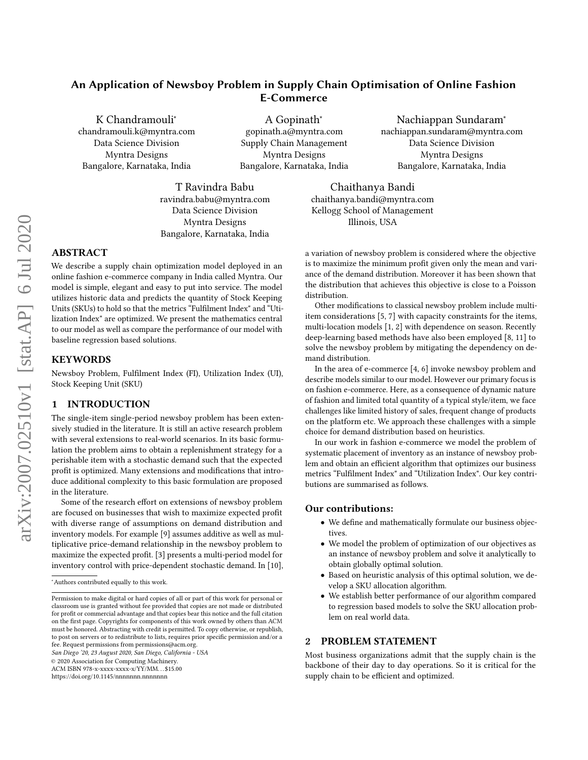# An Application of Newsboy Problem in Supply Chain Optimisation of Online Fashion E-Commerce

K Chandramouli<sup>∗</sup> chandramouli.k@myntra.com Data Science Division Myntra Designs Bangalore, Karnataka, India

A Gopinath<sup>∗</sup> gopinath.a@myntra.com Supply Chain Management Myntra Designs Bangalore, Karnataka, India

Nachiappan Sundaram<sup>∗</sup> nachiappan.sundaram@myntra.com Data Science Division Myntra Designs Bangalore, Karnataka, India

T Ravindra Babu ravindra.babu@myntra.com Data Science Division Myntra Designs Bangalore, Karnataka, India

Chaithanya Bandi chaithanya.bandi@myntra.com Kellogg School of Management Illinois, USA

# ABSTRACT

We describe a supply chain optimization model deployed in an online fashion e-commerce company in India called Myntra. Our model is simple, elegant and easy to put into service. The model utilizes historic data and predicts the quantity of Stock Keeping Units (SKUs) to hold so that the metrics "Fulfilment Index" and "Utilization Index" are optimized. We present the mathematics central to our model as well as compare the performance of our model with baseline regression based solutions.

## KEYWORDS

Newsboy Problem, Fulfilment Index (FI), Utilization Index (UI), Stock Keeping Unit (SKU)

## 1 INTRODUCTION

The single-item single-period newsboy problem has been extensively studied in the literature. It is still an active research problem with several extensions to real-world scenarios. In its basic formulation the problem aims to obtain a replenishment strategy for a perishable item with a stochastic demand such that the expected profit is optimized. Many extensions and modifications that introduce additional complexity to this basic formulation are proposed in the literature.

Some of the research effort on extensions of newsboy problem are focused on businesses that wish to maximize expected profit with diverse range of assumptions on demand distribution and inventory models. For example [\[9\]](#page-3-0) assumes additive as well as multiplicative price-demand relationship in the newsboy problem to maximize the expected profit. [\[3\]](#page-2-0) presents a multi-period model for inventory control with price-dependent stochastic demand. In [\[10\]](#page-3-1),

San Diego '20, 23 August 2020, San Diego, California - USA

© 2020 Association for Computing Machinery.

ACM ISBN 978-x-xxxx-xxxx-x/YY/MM. . . \$15.00

<https://doi.org/10.1145/nnnnnnn.nnnnnnn>

a variation of newsboy problem is considered where the objective is to maximize the minimum profit given only the mean and variance of the demand distribution. Moreover it has been shown that the distribution that achieves this objective is close to a Poisson distribution.

Other modifications to classical newsboy problem include multiitem considerations [\[5,](#page-2-1) [7\]](#page-3-2) with capacity constraints for the items, multi-location models [\[1,](#page-2-2) [2\]](#page-2-3) with dependence on season. Recently deep-learning based methods have also been employed [\[8,](#page-3-3) [11\]](#page-3-4) to solve the newsboy problem by mitigating the dependency on demand distribution.

In the area of e-commerce [\[4,](#page-2-4) [6\]](#page-3-5) invoke newsboy problem and describe models similar to our model. However our primary focus is on fashion e-commerce. Here, as a consequence of dynamic nature of fashion and limited total quantity of a typical style/item, we face challenges like limited history of sales, frequent change of products on the platform etc. We approach these challenges with a simple choice for demand distribution based on heuristics.

In our work in fashion e-commerce we model the problem of systematic placement of inventory as an instance of newsboy problem and obtain an efficient algorithm that optimizes our business metrics "Fulfilment Index" and "Utilization Index". Our key contributions are summarised as follows.

#### Our contributions:

- We define and mathematically formulate our business objectives.
- We model the problem of optimization of our objectives as an instance of newsboy problem and solve it analytically to obtain globally optimal solution.
- Based on heuristic analysis of this optimal solution, we develop a SKU allocation algorithm.
- We establish better performance of our algorithm compared to regression based models to solve the SKU allocation problem on real world data.

## 2 PROBLEM STATEMENT

Most business organizations admit that the supply chain is the backbone of their day to day operations. So it is critical for the supply chain to be efficient and optimized.

<sup>∗</sup>Authors contributed equally to this work.

Permission to make digital or hard copies of all or part of this work for personal or classroom use is granted without fee provided that copies are not made or distributed for profit or commercial advantage and that copies bear this notice and the full citation on the first page. Copyrights for components of this work owned by others than ACM must be honored. Abstracting with credit is permitted. To copy otherwise, or republish, to post on servers or to redistribute to lists, requires prior specific permission and/or a fee. Request permissions from permissions@acm.org.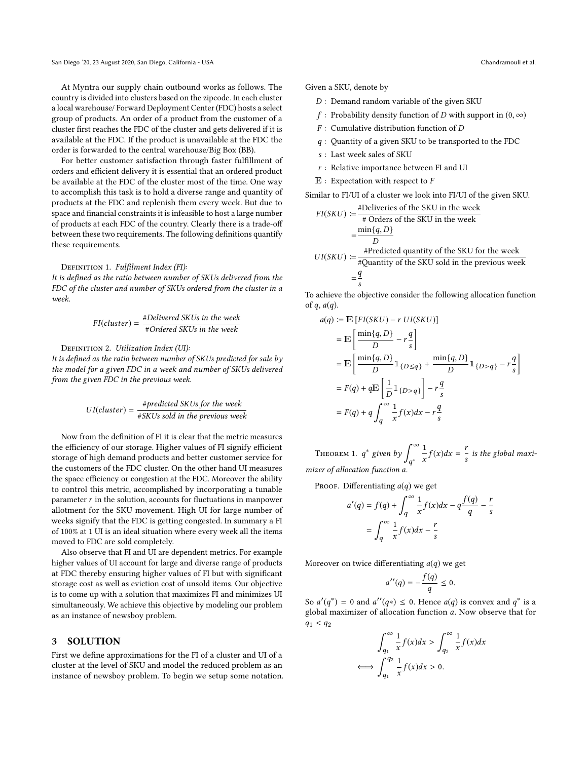At Myntra our supply chain outbound works as follows. The country is divided into clusters based on the zipcode. In each cluster a local warehouse/ Forward Deployment Center (FDC) hosts a select group of products. An order of a product from the customer of a cluster first reaches the FDC of the cluster and gets delivered if it is available at the FDC. If the product is unavailable at the FDC the order is forwarded to the central warehouse/Big Box (BB).

For better customer satisfaction through faster fulfillment of orders and efficient delivery it is essential that an ordered product be available at the FDC of the cluster most of the time. One way to accomplish this task is to hold a diverse range and quantity of products at the FDC and replenish them every week. But due to space and financial constraints it is infeasible to host a large number of products at each FDC of the country. Clearly there is a trade-off between these two requirements. The following definitions quantify these requirements.

#### DEFINITION 1. Fulfilment Index (FI):

It is defined as the ratio between number of SKUs delivered from the FDC of the cluster and number of SKUs ordered from the cluster in a week.

$$
FI(cluster) = \frac{\#Delivered SKUs \text{ in the week}}{\#Ordered SKUs \text{ in the week}}
$$

DEFINITION 2. Utilization Index (UI): It is defined as the ratio between number of SKUs predicted for sale by the model for a given FDC in a week and number of SKUs delivered from the given FDC in the previous week.

$$
UI(cluster) = \frac{\#predicted SKUs for the week}{\# SKUs sold in the previous week}
$$

Now from the definition of FI it is clear that the metric measures the efficiency of our storage. Higher values of FI signify efficient storage of high demand products and better customer service for the customers of the FDC cluster. On the other hand UI measures the space efficiency or congestion at the FDC. Moreover the ability to control this metric, accomplished by incorporating a tunable parameter  $r$  in the solution, accounts for fluctuations in manpower allotment for the SKU movement. High UI for large number of weeks signify that the FDC is getting congested. In summary a FI of 100% at 1 UI is an ideal situation where every week all the items moved to FDC are sold completely.

Also observe that FI and UI are dependent metrics. For example higher values of UI account for large and diverse range of products at FDC thereby ensuring higher values of FI but with significant storage cost as well as eviction cost of unsold items. Our objective is to come up with a solution that maximizes FI and minimizes UI simultaneously. We achieve this objective by modeling our problem as an instance of newsboy problem.

#### 3 SOLUTION

First we define approximations for the FI of a cluster and UI of a cluster at the level of SKU and model the reduced problem as an instance of newsboy problem. To begin we setup some notation.

Given a SKU, denote by

- D : Demand random variable of the given SKU
- f : Probability density function of D with support in  $(0, \infty)$
- $F$ : Cumulative distribution function of  $D$
- q : Quantity of a given SKU to be transported to the FDC
- s : Last week sales of SKU
- $r$  : Relative importance between FI and UI
- $E$  : Expectation with respect to  $F$

Similar to FI/UI of a cluster we look into FI/UI of the given SKU.

$$
FI(SKU) := \frac{\text{\#Deliveries of the SKU in the week}}{\text{\# Orders of the SKU in the week}} = \frac{\min\{q, D\}}{D}
$$
\n
$$
UI(SKU) := \frac{\text{\#Predicted quantity of the SKU for the week}}{\text{\#Quantity of the SKU sold in the previous week}} = \frac{q}{s}
$$

To achieve the objective consider the following allocation function of  $q$ ,  $a(q)$ .

$$
a(q) := \mathbb{E}\left[FI(SKU) - r \, UI(SKU)\right]
$$
  
\n
$$
= \mathbb{E}\left[\frac{\min\{q, D\}}{D} - r\frac{q}{s}\right]
$$
  
\n
$$
= \mathbb{E}\left[\frac{\min\{q, D\}}{D} \mathbb{1}_{\{D \le q\}} + \frac{\min\{q, D\}}{D} \mathbb{1}_{\{D > q\}} - r\frac{q}{s}\right]
$$
  
\n
$$
= F(q) + q \mathbb{E}\left[\frac{1}{D} \mathbb{1}_{\{D > q\}}\right] - r\frac{q}{s}
$$
  
\n
$$
= F(q) + q \int_{q}^{\infty} \frac{1}{x} f(x) dx - r\frac{q}{s}
$$

THEOREM 1.  $q^*$  given by  $\int_{q^*}^{\infty}$  $\overline{a}$ 1  $\frac{1}{x}f(x)dx = \frac{1}{s}$ is the global maximizer of allocation function a.

PROOF. Differentiating  $a(q)$  we get

$$
a'(q) = f(q) + \int_{q}^{\infty} \frac{1}{x} f(x) dx - q \frac{f(q)}{q} - \frac{r}{s}
$$

$$
= \int_{q}^{\infty} \frac{1}{x} f(x) dx - \frac{r}{s}
$$

Moreover on twice differentiating  $a(q)$  we get

$$
a''(q) = -\frac{f(q)}{q} \le 0.
$$

So  $a'(q^*) = 0$  and  $a''(q^*) \le 0$ . Hence  $a(q)$  is convex and  $q^*$  is a global maximizer of allocation function a. Now observe that for global maximizer of allocation function a. Now observe that for  $q_1 < q_2$ 

$$
\int_{q_1}^{\infty} \frac{1}{x} f(x) dx > \int_{q_2}^{\infty} \frac{1}{x} f(x) dx
$$
  

$$
\iff \int_{q_1}^{q_2} \frac{1}{x} f(x) dx > 0.
$$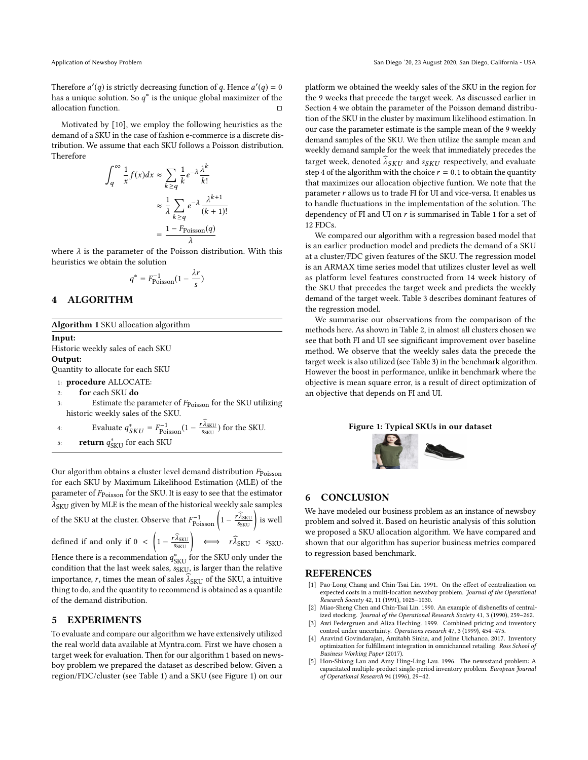Therefore  $a'(q)$  is strictly decreasing function of q. Hence  $a'(q) = 0$ <br>has a unique solution. So  $a^*$  is the unique global maximizer of the has a unique solution. So  $q^*$  is the unique global maximizer of the allocation function allocation function.

Motivated by [\[10\]](#page-3-1), we employ the following heuristics as the demand of a SKU in the case of fashion e-commerce is a discrete distribution. We assume that each SKU follows a Poisson distribution. Therefore

$$
\int_{q}^{\infty} \frac{1}{x} f(x) dx \approx \sum_{k \ge q} \frac{1}{k} e^{-\lambda} \frac{\lambda^{k}}{k!}
$$

$$
\approx \frac{1}{\lambda} \sum_{k \ge q} e^{-\lambda} \frac{\lambda^{k+1}}{(k+1)!}
$$

$$
= \frac{1 - F_{\text{Poisson}}(q)}{\lambda}
$$

where  $\lambda$  is the parameter of the Poisson distribution. With this hauristics we obtain the solution heuristics we obtain the solution

$$
q^* = F_{\text{Poisson}}^{-1}(1 - \frac{\lambda r}{s})
$$

# <span id="page-2-7"></span>4 ALGORITHM

<span id="page-2-5"></span>Algorithm 1 SKU allocation algorithm

Input: Historic weekly sales of each SKU Output: Quantity to allocate for each SKU

1: procedure ALLOCATE:

2: for each SKU do

3: Estimate the parameter of  $F_{\text{Poisson}}$  for the SKU utilizing historic weekly sales of the SKU.

4: Evaluate 
$$
q_{SKU}^* = F_{\text{Poisson}}^{-1} (1 - \frac{r_{\text{ASKU}}}{s_{SKU}})
$$
 for the SKU.  
5: return  $q_{SKU}^*$  for each SKU

Our algorithm obtains a cluster level demand distribution  $F_{\text{Poisson}}$ for each SKU by Maximum Likelihood Estimation (MLE) of the parameter of  $F_{\text{Poisson}}$  for the SKU. It is easy to see that the estimator  $\widehat{\lambda}_{\mathrm{SKU}}$  given by MLE is the mean of the historical weekly sale samples

of the SKU at the cluster. Observe that  $F_{\text{Poisson}}^{-1}\left(1-\frac{r\widehat{\lambda}_{\text{SKU}}}{s_{\text{SKU}}}\right)$  is well defined if and only if  $0 < \left(1 - \frac{r \widehat{\lambda}_{SKU}}{s_{SKU}}\right) \iff r \widehat{\lambda}_{SKU} < s_{SKU}$ . Hence there is a recommendation  $q_{\text{SKU}}^*$  for the SKU only under the condition that the last week sales, some is larger than the relative condition that the last week sales,  $s_{\text{SKU}}$ , is larger than the relative importance, r, times the mean of sales  $\lambda_{\rm SKU}$  of the SKU, a intuitive thing to do, and the quantity to recommend is obtained as a quantile

#### 5 EXPERIMENTS

of the demand distribution.

To evaluate and compare our algorithm we have extensively utilized the real world data available at Myntra.com. First we have chosen a target week for evaluation. Then for our algorithm [1](#page-2-5) based on newsboy problem we prepared the dataset as described below. Given a region/FDC/cluster (see Table [1\)](#page-3-6) and a SKU (see Figure [1\)](#page-2-6) on our

platform we obtained the weekly sales of the SKU in the region for the 9 weeks that precede the target week. As discussed earlier in Section [4](#page-2-7) we obtain the parameter of the Poisson demand distribution of the SKU in the cluster by maximum likelihood estimation. In our case the parameter estimate is the sample mean of the 9 weekly demand samples of the SKU. We then utilize the sample mean and weekly demand sample for the week that immediately precedes the target week, denoted  $\lambda_{SKU}$  and  $s_{SKU}$  respectively, and evaluate step 4 of the algorithm with the choice  $r = 0.1$  to obtain the quantity that maximizes our allocation objective funtion. We note that the parameter  $r$  allows us to trade FI for UI and vice-versa. It enables us to handle fluctuations in the implementation of the solution. The dependency of FI and UI on  $r$  is summarised in Table [1](#page-3-6) for a set of 12 FDCs.

We compared our algorithm with a regression based model that is an earlier production model and predicts the demand of a SKU at a cluster/FDC given features of the SKU. The regression model is an ARMAX time series model that utilizes cluster level as well as platform level features constructed from 14 week history of the SKU that precedes the target week and predicts the weekly demand of the target week. Table [3](#page-3-7) describes dominant features of the regression model.

We summarise our observations from the comparison of the methods here. As shown in Table [2,](#page-3-8) in almost all clusters chosen we see that both FI and UI see significant improvement over baseline method. We observe that the weekly sales data the precede the target week is also utilized (see Table [3\)](#page-3-7) in the benchmark algorithm. However the boost in performance, unlike in benchmark where the objective is mean square error, is a result of direct optimization of an objective that depends on FI and UI.

#### <span id="page-2-6"></span>Figure 1: Typical SKUs in our dataset



# 6 CONCLUSION

We have modeled our business problem as an instance of newsboy problem and solved it. Based on heuristic analysis of this solution we proposed a SKU allocation algorithm. We have compared and shown that our algorithm has superior business metrics compared to regression based benchmark.

#### **REFERENCES**

- <span id="page-2-2"></span>[1] Pao-Long Chang and Chin-Tsai Lin. 1991. On the effect of centralization on expected costs in a multi-location newsboy problem. Journal of the Operational Research Society 42, 11 (1991), 1025–1030.
- <span id="page-2-3"></span>[2] Miao-Sheng Chen and Chin-Tsai Lin. 1990. An example of disbenefits of centralized stocking. Journal of the Operational Research Society 41, 3 (1990), 259–262.
- <span id="page-2-0"></span>[3] Awi Federgruen and Aliza Heching. 1999. Combined pricing and inventory control under uncertainty. Operations research 47, 3 (1999), 454–475.
- <span id="page-2-4"></span>Aravind Govindarajan, Amitabh Sinha, and Joline Uichanco. 2017. Inventory optimization for fulfillment integration in omnichannel retailing. Ross School of Business Working Paper (2017).
- <span id="page-2-1"></span>[5] Hon-Shiang Lau and Amy Hing-Ling Lau. 1996. The newsstand problem: A capacitated multiple-product single-period inventory problem. European Journal of Operational Research 94 (1996), 29–42.